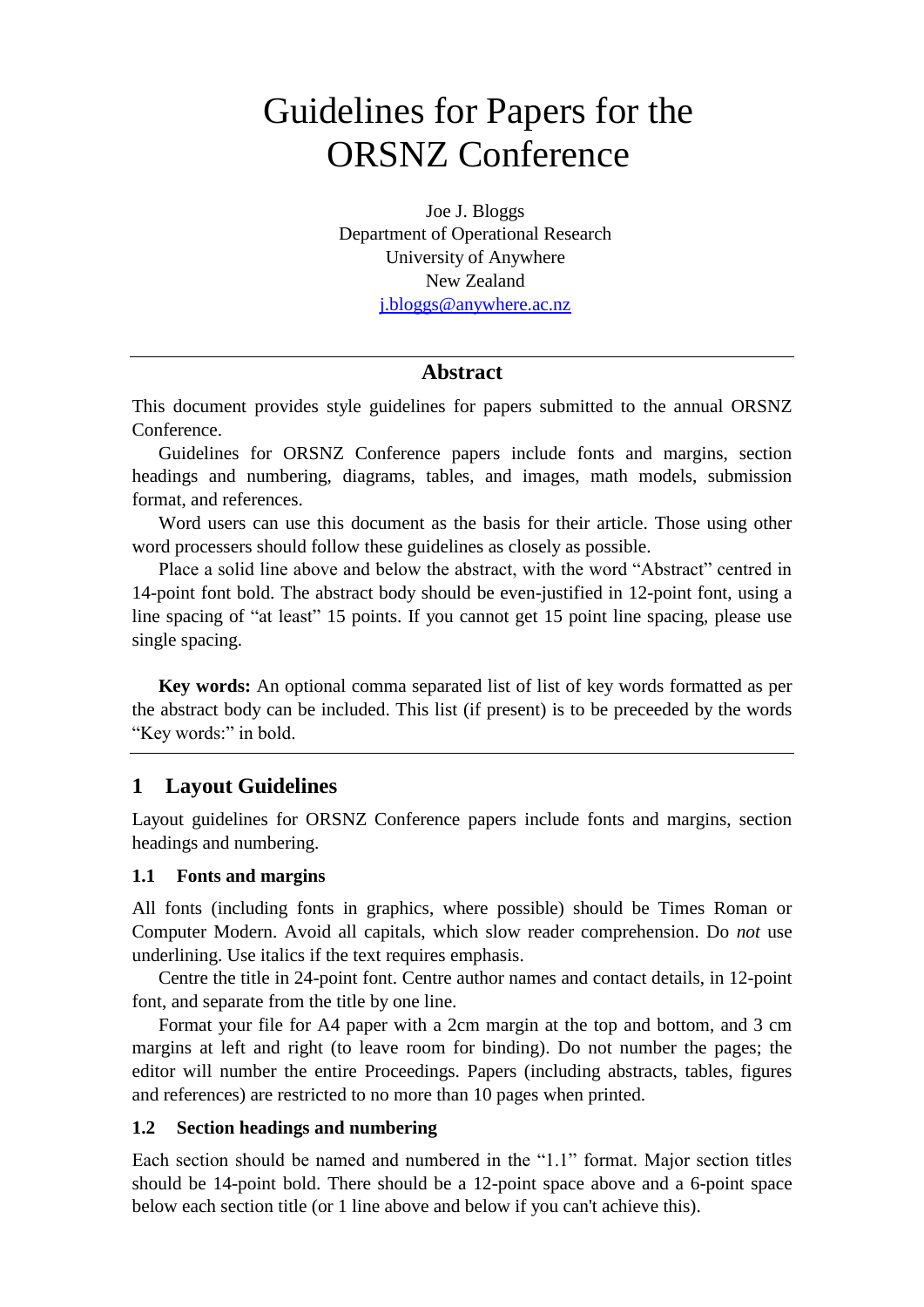# Guidelines for Papers for the ORSNZ Conference

Joe J. Bloggs Department of Operational Research University of Anywhere New Zealand [j.bloggs@anywhere.ac.nz](mailto:j.bloggs@anywhere.ac.nz)

# **Abstract**

This document provides style guidelines for papers submitted to the annual ORSNZ Conference.

Guidelines for ORSNZ Conference papers include fonts and margins, section headings and numbering, diagrams, tables, and images, math models, submission format, and references.

Word users can use this document as the basis for their article. Those using other word processers should follow these guidelines as closely as possible.

Place a solid line above and below the abstract, with the word "Abstract" centred in 14-point font bold. The abstract body should be even-justified in 12-point font, using a line spacing of "at least" 15 points. If you cannot get 15 point line spacing, please use single spacing.

**Key words:** An optional comma separated list of list of key words formatted as per the abstract body can be included. This list (if present) is to be preceeded by the words "Key words:" in bold.

# **1 Layout Guidelines**

Layout guidelines for ORSNZ Conference papers include fonts and margins, section headings and numbering.

### **1.1 Fonts and margins**

All fonts (including fonts in graphics, where possible) should be Times Roman or Computer Modern. Avoid all capitals, which slow reader comprehension. Do *not* use underlining. Use italics if the text requires emphasis.

Centre the title in 24-point font. Centre author names and contact details, in 12-point font, and separate from the title by one line.

Format your file for A4 paper with a 2cm margin at the top and bottom, and 3 cm margins at left and right (to leave room for binding). Do not number the pages; the editor will number the entire Proceedings. Papers (including abstracts, tables, figures and references) are restricted to no more than 10 pages when printed.

#### **1.2 Section headings and numbering**

Each section should be named and numbered in the "1.1" format. Major section titles should be 14-point bold. There should be a 12-point space above and a 6-point space below each section title (or 1 line above and below if you can't achieve this).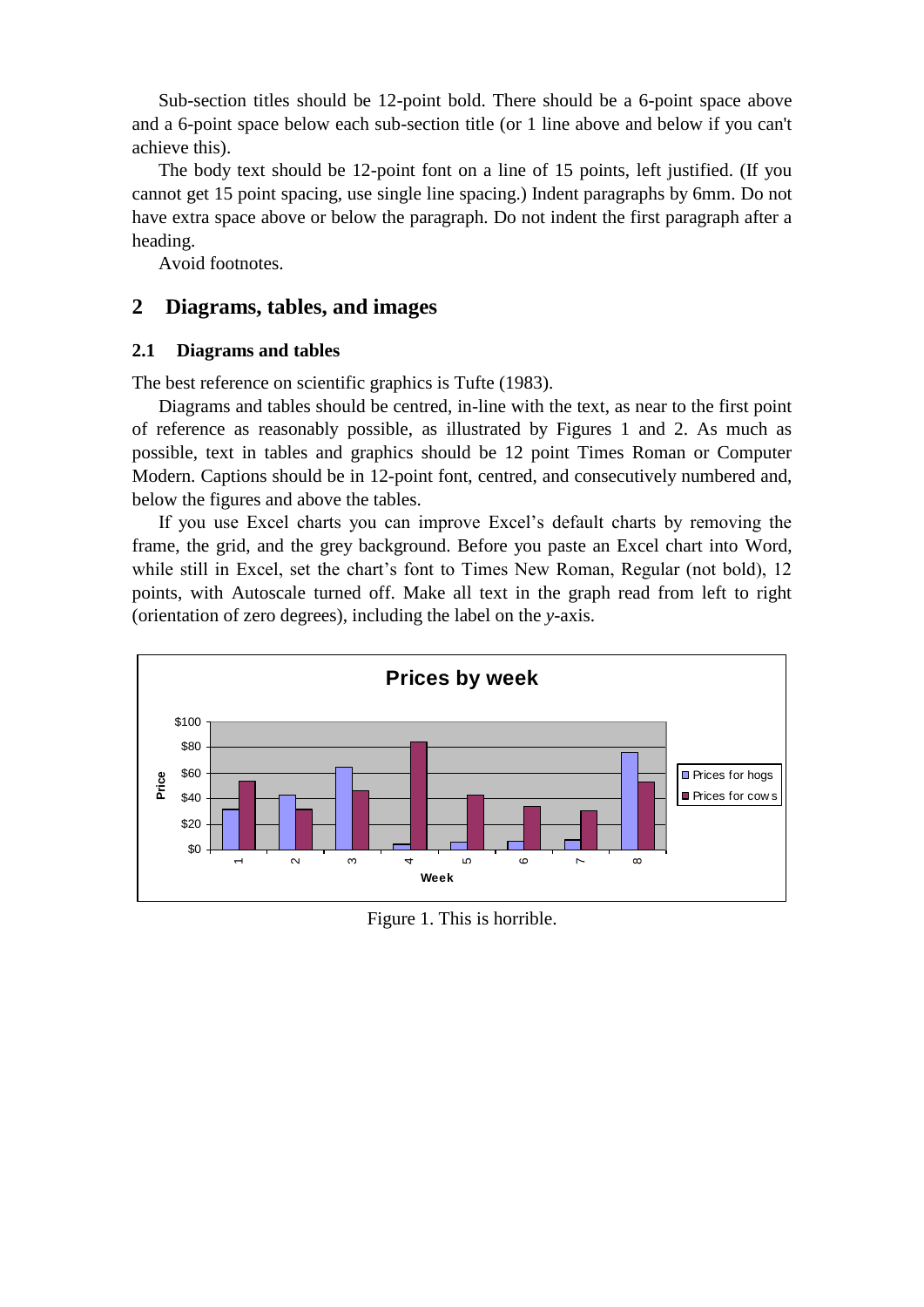Sub-section titles should be 12-point bold. There should be a 6-point space above and a 6-point space below each sub-section title (or 1 line above and below if you can't achieve this).

The body text should be 12-point font on a line of 15 points, left justified. (If you cannot get 15 point spacing, use single line spacing.) Indent paragraphs by 6mm. Do not have extra space above or below the paragraph. Do not indent the first paragraph after a heading.

Avoid footnotes.

## **2 Diagrams, tables, and images**

#### **2.1 Diagrams and tables**

The best reference on scientific graphics is Tufte (1983).

Diagrams and tables should be centred, in-line with the text, as near to the first point of reference as reasonably possible, as illustrated by Figures 1 and 2. As much as possible, text in tables and graphics should be 12 point Times Roman or Computer Modern. Captions should be in 12-point font, centred, and consecutively numbered and, below the figures and above the tables.

If you use Excel charts you can improve Excel's default charts by removing the frame, the grid, and the grey background. Before you paste an Excel chart into Word, while still in Excel, set the chart's font to Times New Roman, Regular (not bold), 12 points, with Autoscale turned off. Make all text in the graph read from left to right (orientation of zero degrees), including the label on the *y*-axis.



Figure 1. This is horrible.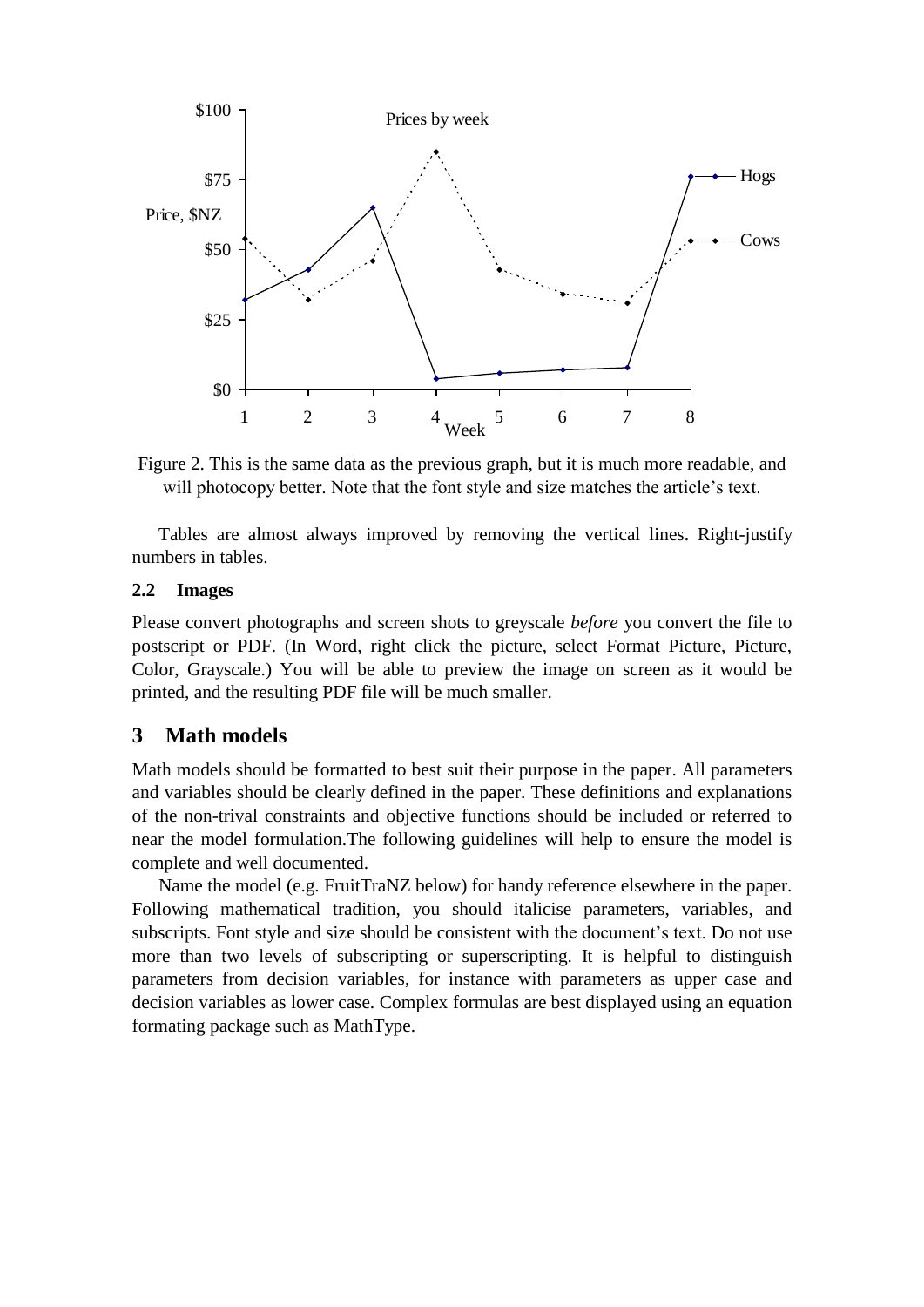

Figure 2. This is the same data as the previous graph, but it is much more readable, and will photocopy better. Note that the font style and size matches the article's text.

Tables are almost always improved by removing the vertical lines. Right-justify numbers in tables.

#### **2.2 Images**

Please convert photographs and screen shots to greyscale *before* you convert the file to postscript or PDF. (In Word, right click the picture, select Format Picture, Picture, Color, Grayscale.) You will be able to preview the image on screen as it would be printed, and the resulting PDF file will be much smaller.

# **3 Math models**

Math models should be formatted to best suit their purpose in the paper. All parameters and variables should be clearly defined in the paper. These definitions and explanations of the non-trival constraints and objective functions should be included or referred to near the model formulation.The following guidelines will help to ensure the model is complete and well documented.

Name the model (e.g. FruitTraNZ below) for handy reference elsewhere in the paper. Following mathematical tradition, you should italicise parameters, variables, and subscripts. Font style and size should be consistent with the document's text. Do not use more than two levels of subscripting or superscripting. It is helpful to distinguish parameters from decision variables, for instance with parameters as upper case and decision variables as lower case. Complex formulas are best displayed using an equation formating package such as MathType.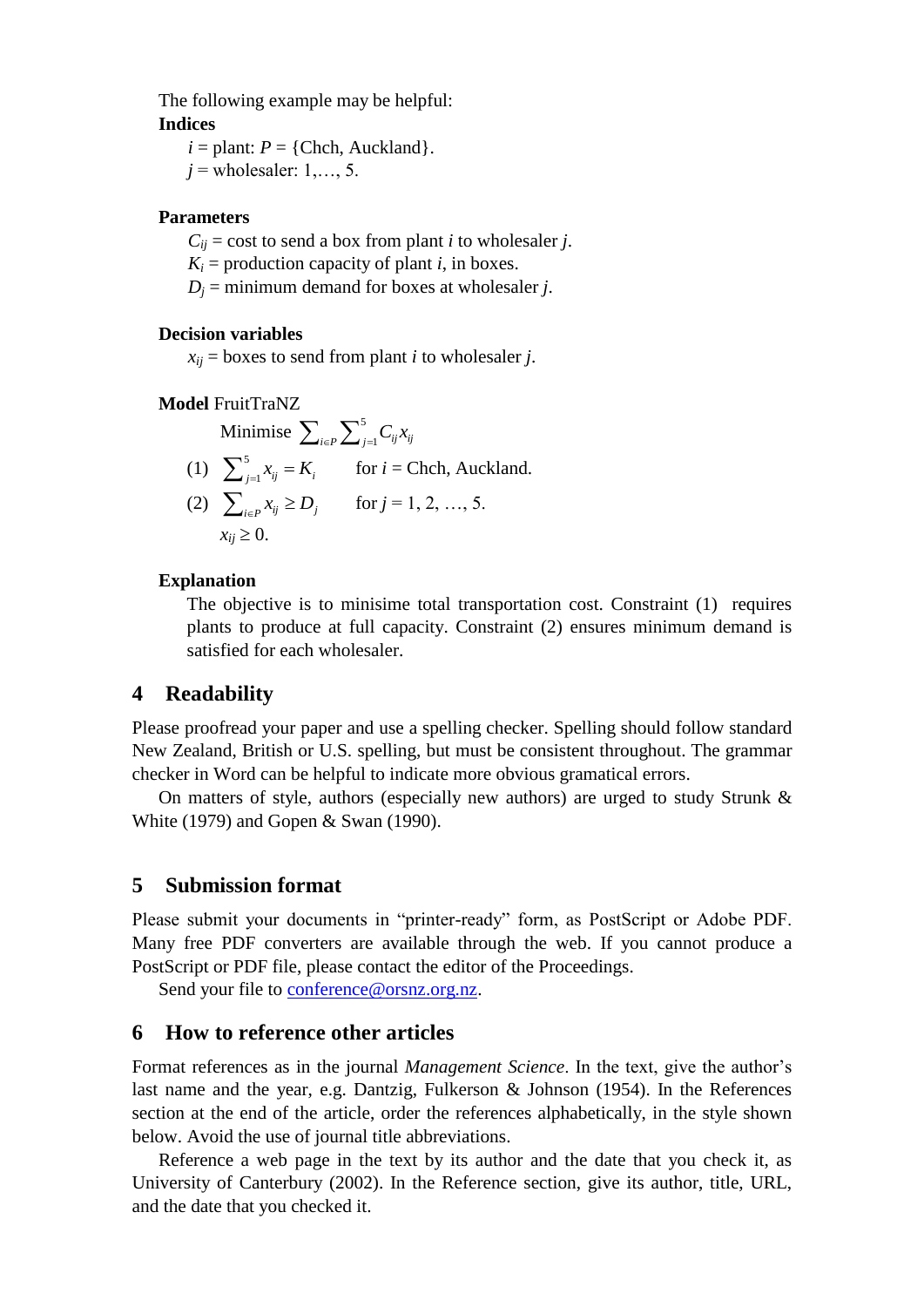The following example may be helpful: **Indices**

 $i =$  plant:  $P =$  {Chch, Auckland}.  $j$  = wholesaler: 1, ..., 5.

#### **Parameters**

 $C_{ij}$  = cost to send a box from plant *i* to wholesaler *j*.

 $K_i$  = production capacity of plant *i*, in boxes.

 $D_i$  = minimum demand for boxes at wholesaler *j*.

#### **Decision variables**

 $x_{ii}$  = boxes to send from plant *i* to wholesaler *j*.

#### **Model** FruitTraNZ

Minimise 
$$
\sum_{i \in P} \sum_{j=1}^{5} C_{ij} x_{ij}
$$
  
\n(1) 
$$
\sum_{j=1}^{5} x_{ij} = K_i
$$
 for  $i$  = Chch, Auckland.  
\n(2) 
$$
\sum_{i \in P} x_{ij} \ge D_j
$$
 for  $j$  = 1, 2, ..., 5.  
\n
$$
x_{ij} \ge 0.
$$

#### **Explanation**

The objective is to minisime total transportation cost. Constraint (1) requires plants to produce at full capacity. Constraint (2) ensures minimum demand is satisfied for each wholesaler.

### **4 Readability**

Please proofread your paper and use a spelling checker. Spelling should follow standard New Zealand, British or U.S. spelling, but must be consistent throughout. The grammar checker in Word can be helpful to indicate more obvious gramatical errors.

On matters of style, authors (especially new authors) are urged to study Strunk & White (1979) and Gopen & Swan (1990).

#### **5 Submission format**

Please submit your documents in "printer-ready" form, as PostScript or Adobe PDF. Many free PDF converters are available through the web. If you cannot produce a PostScript or PDF file, please contact the editor of the Proceedings.

Send your file to [conference@orsnz.org.nz.](mailto:conference@orsnz.org.nz)

# **6 How to reference other articles**

Format references as in the journal *Management Science*. In the text, give the author's last name and the year, e.g. Dantzig, Fulkerson & Johnson (1954). In the References section at the end of the article, order the references alphabetically, in the style shown below. Avoid the use of journal title abbreviations.

Reference a web page in the text by its author and the date that you check it, as University of Canterbury (2002). In the Reference section, give its author, title, URL, and the date that you checked it.